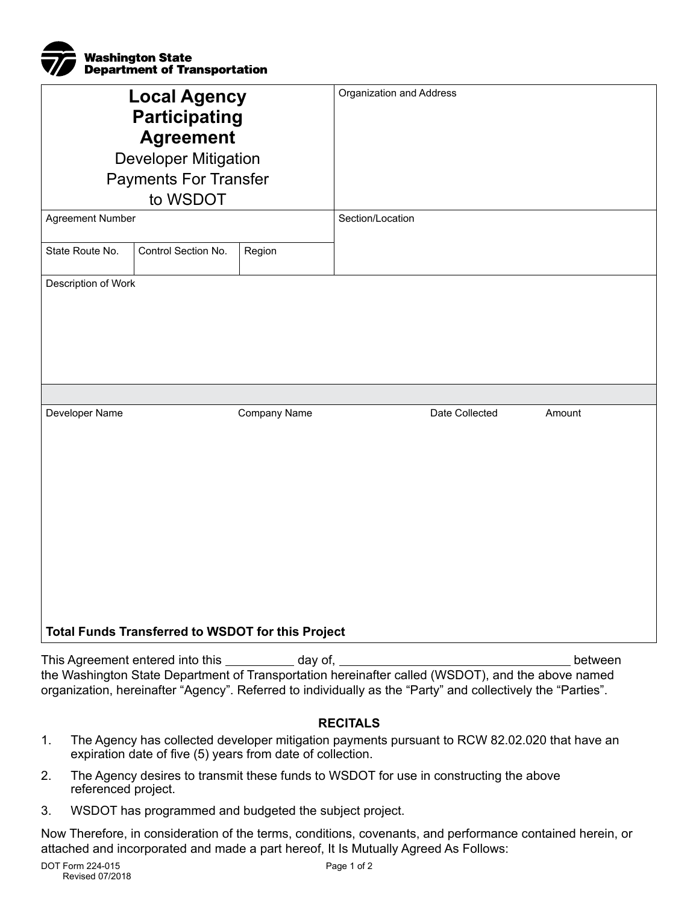

| <b>Local Agency</b><br><b>Participating</b><br><b>Agreement</b><br><b>Developer Mitigation</b><br><b>Payments For Transfer</b><br>to WSDOT<br>Agreement Number | Organization and Address<br>Section/Location |
|----------------------------------------------------------------------------------------------------------------------------------------------------------------|----------------------------------------------|
| Control Section No.<br>State Route No.<br>Region                                                                                                               |                                              |
| Description of Work                                                                                                                                            |                                              |
| Developer Name<br>Company Name<br><b>Total Funds Transferred to WSDOT for this Project</b>                                                                     | Date Collected<br>Amount                     |

This Agreement entered into this \_\_\_\_\_\_\_\_\_\_ day of, \_\_ between the Washington State Department of Transportation hereinafter called (WSDOT), and the above named organization, hereinafter "Agency". Referred to individually as the "Party" and collectively the "Parties".

# **RECITALS**

- 1. The Agency has collected developer mitigation payments pursuant to RCW 82.02.020 that have an expiration date of five (5) years from date of collection.
- 2. The Agency desires to transmit these funds to WSDOT for use in constructing the above referenced project.
- 3. WSDOT has programmed and budgeted the subject project.

Now Therefore, in consideration of the terms, conditions, covenants, and performance contained herein, or attached and incorporated and made a part hereof, It Is Mutually Agreed As Follows: